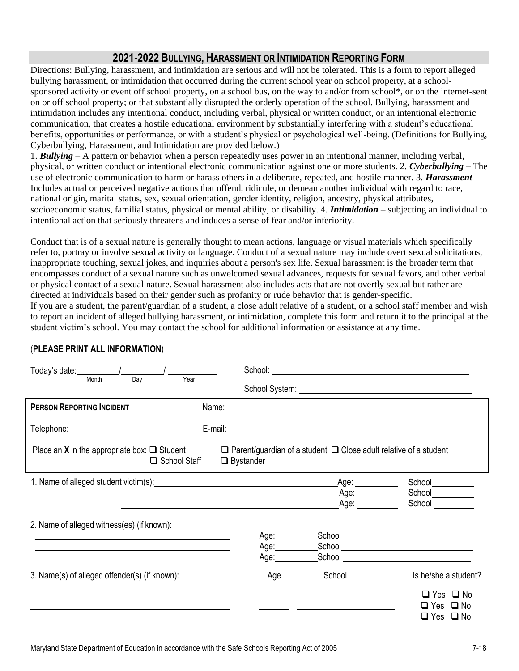## **2021-2022 BULLYING, HARASSMENT OR INTIMIDATION REPORTING FORM**

Directions: Bullying, harassment, and intimidation are serious and will not be tolerated. This is a form to report alleged bullying harassment, or intimidation that occurred during the current school year on school property, at a schoolsponsored activity or event off school property, on a school bus, on the way to and/or from school\*, or on the internet-sent on or off school property; or that substantially disrupted the orderly operation of the school. Bullying, harassment and intimidation includes any intentional conduct, including verbal, physical or written conduct, or an intentional electronic communication, that creates a hostile educational environment by substantially interfering with a student's educational benefits, opportunities or performance, or with a student's physical or psychological well-being. (Definitions for Bullying, Cyberbullying, Harassment, and Intimidation are provided below.)

1. *Bullying –* A pattern or behavior when a person repeatedly uses power in an intentional manner, including verbal, physical, or written conduct or intentional electronic communication against one or more students. 2. *Cyberbullying* – The use of electronic communication to harm or harass others in a deliberate, repeated, and hostile manner. 3. *Harassment –* Includes actual or perceived negative actions that offend, ridicule, or demean another individual with regard to race, national origin, marital status, sex, sexual orientation, gender identity, religion, ancestry, physical attributes, socioeconomic status, familial status, physical or mental ability, or disability. 4. *Intimidation* – subjecting an individual to intentional action that seriously threatens and induces a sense of fear and/or inferiority.

Conduct that is of a sexual nature is generally thought to mean actions, language or visual materials which specifically refer to, portray or involve sexual activity or language. Conduct of a sexual nature may include overt sexual solicitations, inappropriate touching, sexual jokes, and inquiries about a person's sex life. Sexual harassment is the broader term that encompasses conduct of a sexual nature such as unwelcomed sexual advances, requests for sexual favors, and other verbal or physical contact of a sexual nature. Sexual harassment also includes acts that are not overtly sexual but rather are directed at individuals based on their gender such as profanity or rude behavior that is gender-specific.

If you are a student, the parent/guardian of a student, a close adult relative of a student, or a school staff member and wish to report an incident of alleged bullying harassment, or intimidation, complete this form and return it to the principal at the student victim's school. You may contact the school for additional information or assistance at any time.

| Today's date: $\sqrt{2\pi}$ / $\sqrt{2\pi}$ / $\sqrt{2\pi}$ / $\sqrt{2\pi}$ / $\sqrt{2\pi}$ / $\sqrt{2\pi}$ / $\sqrt{2\pi}$ / $\sqrt{2\pi}$ / $\sqrt{2\pi}$ / $\sqrt{2\pi}$ / $\sqrt{2\pi}$ / $\sqrt{2\pi}$ / $\sqrt{2\pi}$ / $\sqrt{2\pi}$ / $\sqrt{2\pi}$ / $\sqrt{2\pi}$ / $\sqrt{2\pi}$ / $\sqrt$<br>Month | Year                                                                                                                                                                                                                           |                                                                                                                                                                                                                                                        |                            |  |  |  |  |
|----------------------------------------------------------------------------------------------------------------------------------------------------------------------------------------------------------------------------------------------------------------------------------------------------------------|--------------------------------------------------------------------------------------------------------------------------------------------------------------------------------------------------------------------------------|--------------------------------------------------------------------------------------------------------------------------------------------------------------------------------------------------------------------------------------------------------|----------------------------|--|--|--|--|
| Day                                                                                                                                                                                                                                                                                                            |                                                                                                                                                                                                                                |                                                                                                                                                                                                                                                        |                            |  |  |  |  |
| <b>PERSON REPORTING INCIDENT</b>                                                                                                                                                                                                                                                                               |                                                                                                                                                                                                                                |                                                                                                                                                                                                                                                        |                            |  |  |  |  |
| Telephone: www.astronomia.com                                                                                                                                                                                                                                                                                  |                                                                                                                                                                                                                                |                                                                                                                                                                                                                                                        |                            |  |  |  |  |
| Place an <b>X</b> in the appropriate box: $\Box$ Student<br>$\Box$ Parent/guardian of a student $\Box$ Close adult relative of a student<br>$\Box$ School Staff<br>$\Box$ Bystander                                                                                                                            |                                                                                                                                                                                                                                |                                                                                                                                                                                                                                                        |                            |  |  |  |  |
|                                                                                                                                                                                                                                                                                                                |                                                                                                                                                                                                                                | Age: $\frac{1}{\sqrt{1-\frac{1}{2}}\cdot\frac{1}{2}}$                                                                                                                                                                                                  | School                     |  |  |  |  |
|                                                                                                                                                                                                                                                                                                                | the contract of the contract of the contract of the contract of the contract of the contract of the contract of                                                                                                                | Age: $\qquad \qquad$<br>Age: a controller and the controller and the controller and controller and controller and controller and controller and controller and controller and controller and controller and controller and controller and controller a | School                     |  |  |  |  |
| 2. Name of alleged witness(es) (if known):                                                                                                                                                                                                                                                                     |                                                                                                                                                                                                                                |                                                                                                                                                                                                                                                        |                            |  |  |  |  |
|                                                                                                                                                                                                                                                                                                                | Age: Age:                                                                                                                                                                                                                      | School <u>________________________</u>                                                                                                                                                                                                                 |                            |  |  |  |  |
|                                                                                                                                                                                                                                                                                                                | Age: will be a face of the set of the set of the set of the set of the set of the set of the set of the set of the set of the set of the set of the set of the set of the set of the set of the set of the set of the set of t |                                                                                                                                                                                                                                                        |                            |  |  |  |  |
| <u> 1989 - Andrea Stadt Britain, amerikansk politiker (d. 1989)</u>                                                                                                                                                                                                                                            | Age: will be a face of the set of the set of the set of the set of the set of the set of the set of the set of the set of the set of the set of the set of the set of the set of the set of the set of the set of the set of t |                                                                                                                                                                                                                                                        |                            |  |  |  |  |
| 3. Name(s) of alleged offender(s) (if known):                                                                                                                                                                                                                                                                  | Age                                                                                                                                                                                                                            | School                                                                                                                                                                                                                                                 | Is he/she a student?       |  |  |  |  |
|                                                                                                                                                                                                                                                                                                                |                                                                                                                                                                                                                                |                                                                                                                                                                                                                                                        | $\Box$ Yes $\Box$ No       |  |  |  |  |
|                                                                                                                                                                                                                                                                                                                |                                                                                                                                                                                                                                | <u> 1989 - Johann Barbara, martxa alemaniar a</u>                                                                                                                                                                                                      | $\Box$ No<br>$\Box$ Yes    |  |  |  |  |
|                                                                                                                                                                                                                                                                                                                |                                                                                                                                                                                                                                |                                                                                                                                                                                                                                                        | $\Box$ Yes<br>$\square$ No |  |  |  |  |

## (**PLEASE PRINT ALL INFORMATION**)